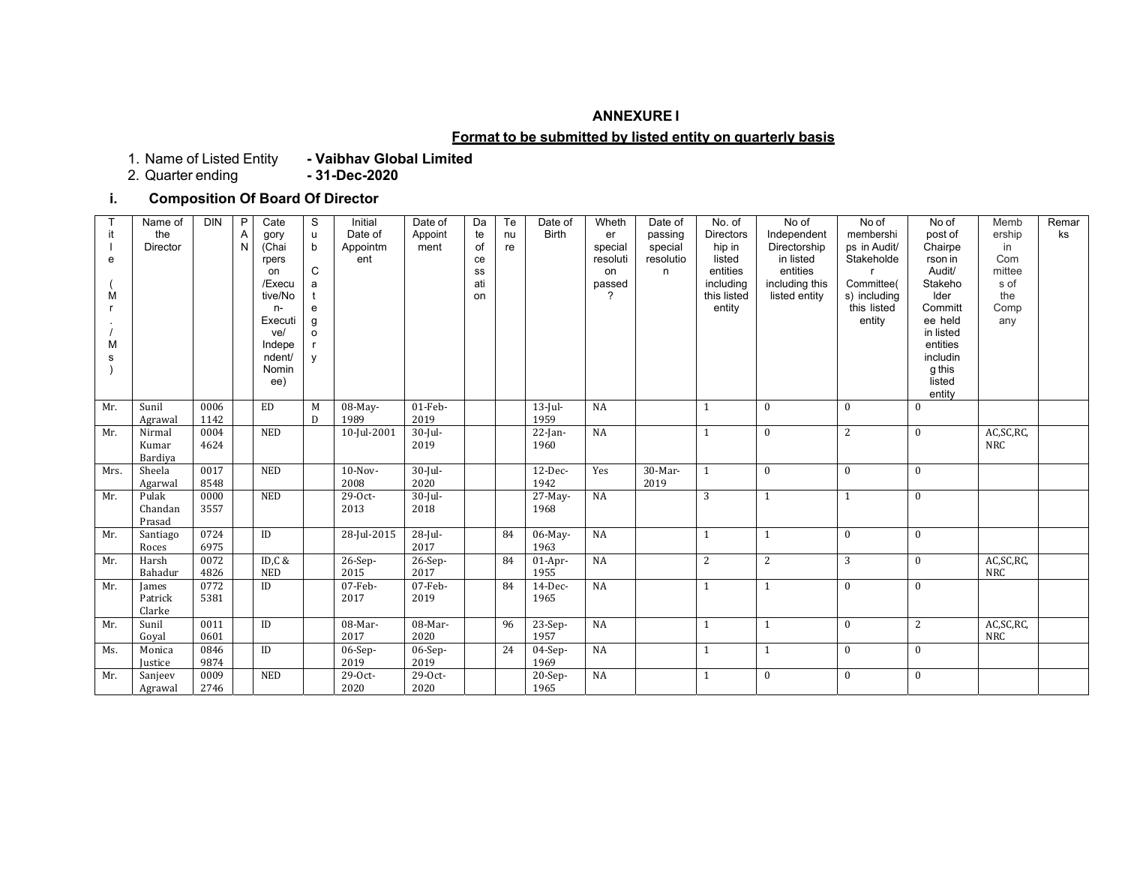#### **ANNEXURE I**

#### **Format to be submitted by listed entity on quarterly basis**

1. Name of Listed Entity<br>2. Quarter ending

1. Name of Listed Entity **- Vaibhav Global Limited**

# **i. Composition Of Board Of Director**

|      | Name of<br>the    | <b>DIN</b>   | P<br>Α | Cate<br>gory    | S<br>$\sf u$ | Initial<br>Date of | Date of<br>Appoint | Da<br>te | Te<br>nu | Date of<br><b>Birth</b> | Wheth<br>er         | Date of<br>passing   | No. of<br>Directors | No of<br>Independent      | No of<br>membershi         | No of<br>post of   | Memb<br>ership | Remar<br>ks |
|------|-------------------|--------------|--------|-----------------|--------------|--------------------|--------------------|----------|----------|-------------------------|---------------------|----------------------|---------------------|---------------------------|----------------------------|--------------------|----------------|-------------|
| e    | Director          |              | N      | (Chai<br>rpers  | $\mathsf b$  | Appointm<br>ent    | ment               | of<br>ce | re       |                         | special<br>resoluti | special<br>resolutio | hip in<br>listed    | Directorship<br>in listed | ps in Audit/<br>Stakeholde | Chairpe<br>rson in | in<br>Com      |             |
|      |                   |              |        | on              | $\mathsf{C}$ |                    |                    | SS       |          |                         | on                  | n                    | entities            | entities                  |                            | Audit/             | mittee         |             |
|      |                   |              |        | /Execu          | a            |                    |                    | ati      |          |                         | passed              |                      | including           | including this            | Committee(                 | Stakeho            | s of           |             |
| M    |                   |              |        | tive/No         |              |                    |                    | on       |          |                         | 2                   |                      | this listed         | listed entity             | s) including               | Ider               | the            |             |
|      |                   |              |        | $n-$            | e            |                    |                    |          |          |                         |                     |                      | entity              |                           | this listed                | Committ            | Comp           |             |
|      |                   |              |        | Executi         | g            |                    |                    |          |          |                         |                     |                      |                     |                           | entity                     | ee held            | any            |             |
|      |                   |              |        | ve/             | $\circ$      |                    |                    |          |          |                         |                     |                      |                     |                           |                            | in listed          |                |             |
| M    |                   |              |        | Indepe          |              |                    |                    |          |          |                         |                     |                      |                     |                           |                            | entities           |                |             |
| s    |                   |              |        | ndent/<br>Nomin | y            |                    |                    |          |          |                         |                     |                      |                     |                           |                            | includin<br>g this |                |             |
|      |                   |              |        | ee)             |              |                    |                    |          |          |                         |                     |                      |                     |                           |                            | listed             |                |             |
|      |                   |              |        |                 |              |                    |                    |          |          |                         |                     |                      |                     |                           |                            | entity             |                |             |
| Mr.  | Sunil             | 0006         |        | ED              | M            | 08-May-            | $01$ -Feb-         |          |          | $13$ -Jul-              | NA                  |                      | $\mathbf{1}$        | $\mathbf{0}$              | $\mathbf{0}$               | $\mathbf{0}$       |                |             |
|      | Agrawal           | 1142         |        |                 | D            | 1989               | 2019               |          |          | 1959                    |                     |                      |                     |                           |                            |                    |                |             |
| Mr.  | Nirmal            | 0004         |        | <b>NED</b>      |              | 10-Jul-2001        | $30$ -Jul-         |          |          | $22$ -Jan-              | NA                  |                      | $\mathbf{1}$        | $\mathbf{0}$              | $\overline{c}$             | $\mathbf{0}$       | AC, SC, RC,    |             |
|      | Kumar             | 4624         |        |                 |              |                    | 2019               |          |          | 1960                    |                     |                      |                     |                           |                            |                    | <b>NRC</b>     |             |
|      | Bardiya           |              |        |                 |              |                    |                    |          |          |                         |                     |                      |                     |                           |                            |                    |                |             |
| Mrs. | Sheela            | 0017         |        | <b>NED</b>      |              | $10-Nov-$          | $30$ -Jul-         |          |          | 12-Dec-                 | Yes                 | 30-Mar-              | $\mathbf{1}$        | $\bf{0}$                  | $\mathbf{0}$               | $\mathbf{0}$       |                |             |
|      | Agarwal           | 8548         |        |                 |              | 2008               | 2020               |          |          | 1942                    |                     | 2019                 |                     |                           |                            |                    |                |             |
| Mr.  | Pulak             | 0000         |        | <b>NED</b>      |              | 29-0ct-            | $30$ -Jul-         |          |          | $27-May-$               | NA                  |                      | 3                   | $\mathbf{1}$              | $\mathbf{1}$               | $\bf{0}$           |                |             |
|      | Chandan           | 3557         |        |                 |              | 2013               | 2018               |          |          | 1968                    |                     |                      |                     |                           |                            |                    |                |             |
|      | Prasad            |              |        |                 |              |                    |                    |          |          |                         |                     |                      |                     |                           |                            |                    |                |             |
| Mr.  | Santiago<br>Roces | 0724<br>6975 |        | $\rm ID$        |              | 28-Jul-2015        | $28$ -Jul-<br>2017 |          | 84       | 06-May-<br>1963         | NA                  |                      | $\mathbf{1}$        | $\mathbf{1}$              | $\mathbf{0}$               | $\mathbf{0}$       |                |             |
| Mr.  | Harsh             | 0072         |        | ID,C &          |              | 26-Sep-            | $26-Sep-$          |          | 84       | $01-Apr-$               | NA                  |                      | $\overline{c}$      | $\overline{c}$            | 3                          | $\mathbf{0}$       | AC, SC, RC,    |             |
|      | Bahadur           | 4826         |        | <b>NED</b>      |              | 2015               | 2017               |          |          | 1955                    |                     |                      |                     |                           |                            |                    | NRC            |             |
| Mr.  | James             | 0772         |        | ID              |              | $07$ -Feb-         | 07-Feb-            |          | 84       | 14-Dec-                 | NA                  |                      | $\mathbf{1}$        | $\mathbf{1}$              | $\mathbf{0}$               | $\mathbf{0}$       |                |             |
|      | Patrick           | 5381         |        |                 |              | 2017               | 2019               |          |          | 1965                    |                     |                      |                     |                           |                            |                    |                |             |
|      | Clarke            |              |        |                 |              |                    |                    |          |          |                         |                     |                      |                     |                           |                            |                    |                |             |
| Mr.  | Sunil             | 0011         |        | $\rm ID$        |              | 08-Mar-            | 08-Mar-            |          | 96       | $23-Sep-$               | NA                  |                      | $\mathbf{1}$        | $\mathbf{1}$              | $\mathbf{0}$               | $\overline{2}$     | AC, SC, RC,    |             |
|      | Goval             | 0601         |        |                 |              | 2017               | 2020               |          |          | 1957                    |                     |                      |                     |                           |                            |                    | NRC            |             |
| Ms.  | Monica            | 0846         |        | $\rm ID$        |              | $06-Sep-$          | $06-Sep-$          |          | 24       | $04-Sep-$               | NA                  |                      | $\mathbf{1}$        | 1                         | $\mathbf{0}$               | $\mathbf{0}$       |                |             |
|      | <b>Justice</b>    | 9874         |        |                 |              | 2019               | 2019               |          |          | 1969                    |                     |                      |                     |                           |                            |                    |                |             |
| Mr.  | Sanjeev           | 0009         |        | <b>NED</b>      |              | 29-Oct-            | 29-0ct-            |          |          | $20-Sep-$               | NA                  |                      | $\mathbf{1}$        | $\mathbf{0}$              | $\mathbf{0}$               | $\mathbf{0}$       |                |             |
|      | Agrawal           | 2746         |        |                 |              | 2020               | 2020               |          |          | 1965                    |                     |                      |                     |                           |                            |                    |                |             |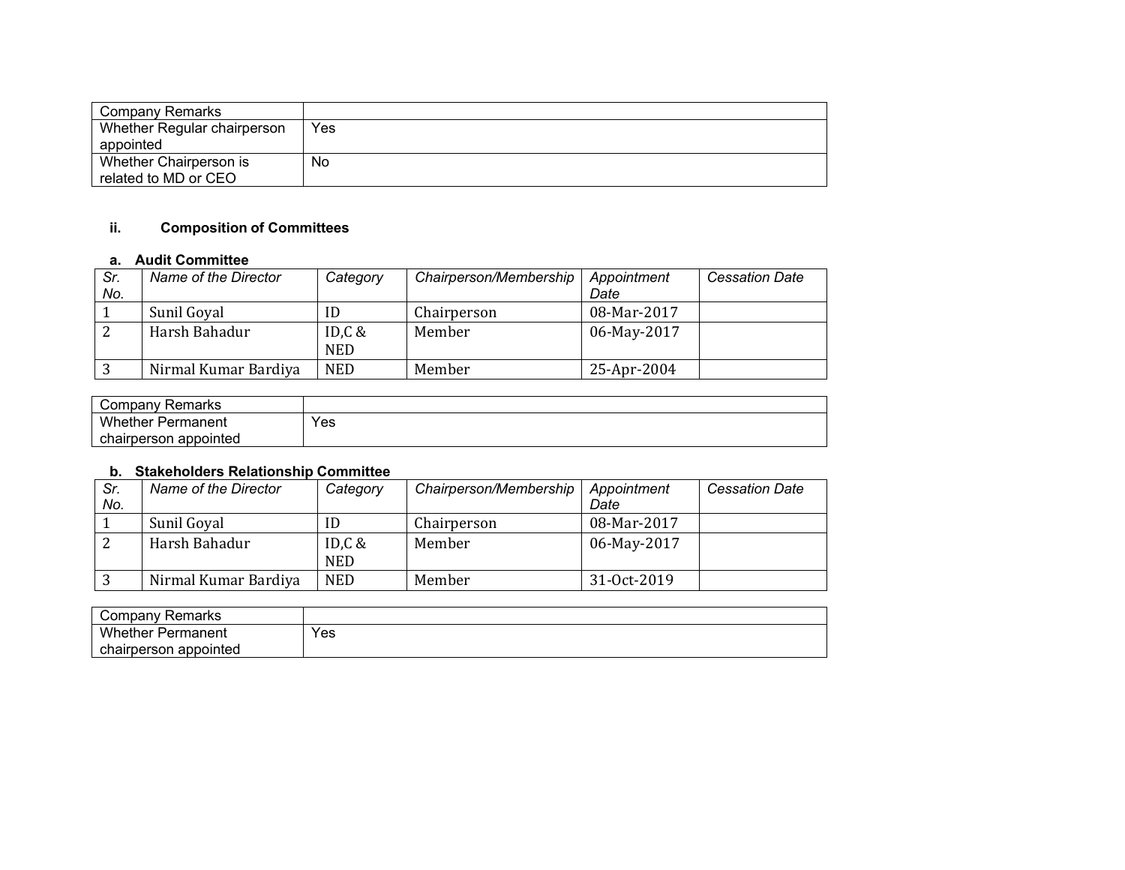| Company Remarks             |     |
|-----------------------------|-----|
| Whether Regular chairperson | Yes |
| appointed                   |     |
| Whether Chairperson is      | No  |
| related to MD or CEO        |     |

## **ii. Composition of Committees**

#### **a. Audit Committee**

| Sr.<br>No. | Name of the Director | Category                | Chairperson/Membership | Appointment<br>Date | <b>Cessation Date</b> |
|------------|----------------------|-------------------------|------------------------|---------------------|-----------------------|
|            | Sunil Goyal          | ID                      | Chairperson            | 08-Mar-2017         |                       |
|            | Harsh Bahadur        | ID, $C$ &<br><b>NED</b> | Member                 | 06-May-2017         |                       |
|            | Nirmal Kumar Bardiya | <b>NED</b>              | Member                 | 25-Apr-2004         |                       |

| Company Remarks          |     |
|--------------------------|-----|
| <b>Whether Permanent</b> | Yes |
| appointed<br>chairperson |     |

#### **b. Stakeholders Relationship Committee**

| Sr.<br>No. | Name of the Director | Category                | Chairperson/Membership | Appointment<br>Date | <b>Cessation Date</b> |
|------------|----------------------|-------------------------|------------------------|---------------------|-----------------------|
|            | Sunil Goyal          | ID                      | Chairperson            | 08-Mar-2017         |                       |
|            | Harsh Bahadur        | ID, $C$ &<br><b>NED</b> | Member                 | 06-May-2017         |                       |
|            | Nirmal Kumar Bardiya | <b>NED</b>              | Member                 | 31-Oct-2019         |                       |

| Remarks<br>' ompany:     |     |
|--------------------------|-----|
| <b>Whether Permanent</b> | Yes |
| chairperson appointed    |     |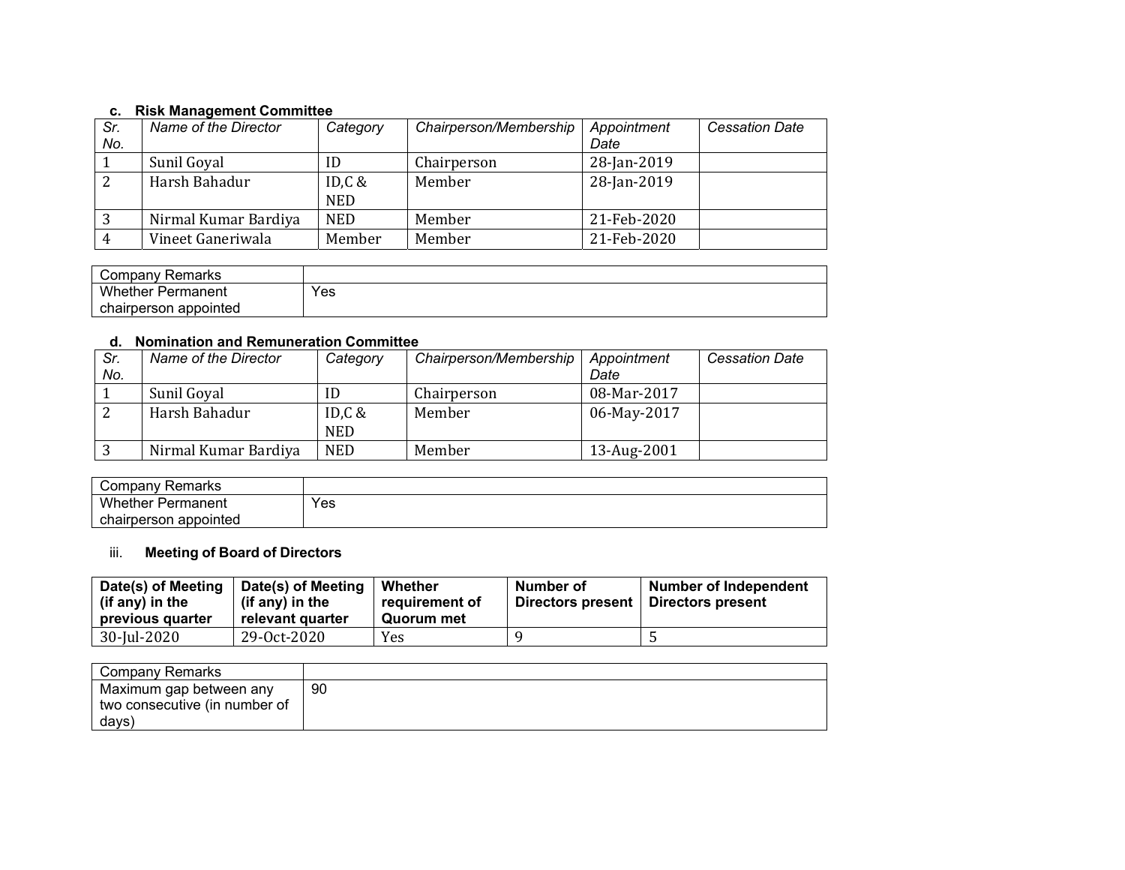#### **c. Risk Management Committee**

| Sr. | Name of the Director | Category   | Chairperson/Membership | Appointment | <b>Cessation Date</b> |
|-----|----------------------|------------|------------------------|-------------|-----------------------|
| No. |                      |            |                        | Date        |                       |
|     | Sunil Goyal          | ID         | Chairperson            | 28-Jan-2019 |                       |
| ົາ  | Harsh Bahadur        | ID, $C$ &  | Member                 | 28-Jan-2019 |                       |
|     |                      | <b>NED</b> |                        |             |                       |
|     | Nirmal Kumar Bardiya | <b>NED</b> | Member                 | 21-Feb-2020 |                       |
|     | Vineet Ganeriwala    | Member     | Member                 | 21-Feb-2020 |                       |

| ' ompany:<br>Remarks   |     |
|------------------------|-----|
| Whether F<br>Permanent | Yes |
| chairperson appointed  |     |

#### **d. Nomination and Remuneration Committee**

| Sr.<br>No. | Name of the Director | Category                | Chairperson/Membership | Appointment<br>Date | <b>Cessation Date</b> |
|------------|----------------------|-------------------------|------------------------|---------------------|-----------------------|
|            | Sunil Goyal          | ID                      | Chairperson            | 08-Mar-2017         |                       |
| ∠          | Harsh Bahadur        | ID, $C$ &<br><b>NED</b> | Member                 | 06-May-2017         |                       |
|            | Nirmal Kumar Bardiya | <b>NED</b>              | Member                 | 13-Aug-2001         |                       |

| ≺emarks<br>⊺ompanyٽ           |     |
|-------------------------------|-----|
| Whether.<br>Permanent         | Yes |
| appointed<br>rperson<br>JHAH. |     |

## iii. **Meeting of Board of Directors**

| Date(s) of Meeting<br>(if any) in the<br>previous quarter | Date(s) of Meeting<br>(if any) in the<br>relevant quarter | Whether<br>requirement of<br>Quorum met | Number of<br>Directors present | <b>Number of Independent</b><br>Directors present |
|-----------------------------------------------------------|-----------------------------------------------------------|-----------------------------------------|--------------------------------|---------------------------------------------------|
| 30-Jul-2020                                               | 29-0ct-2020                                               | Yes                                     |                                |                                                   |

| Company Remarks                                                   |    |
|-------------------------------------------------------------------|----|
| Maximum gap between any<br>two consecutive (in number of<br>days) | 90 |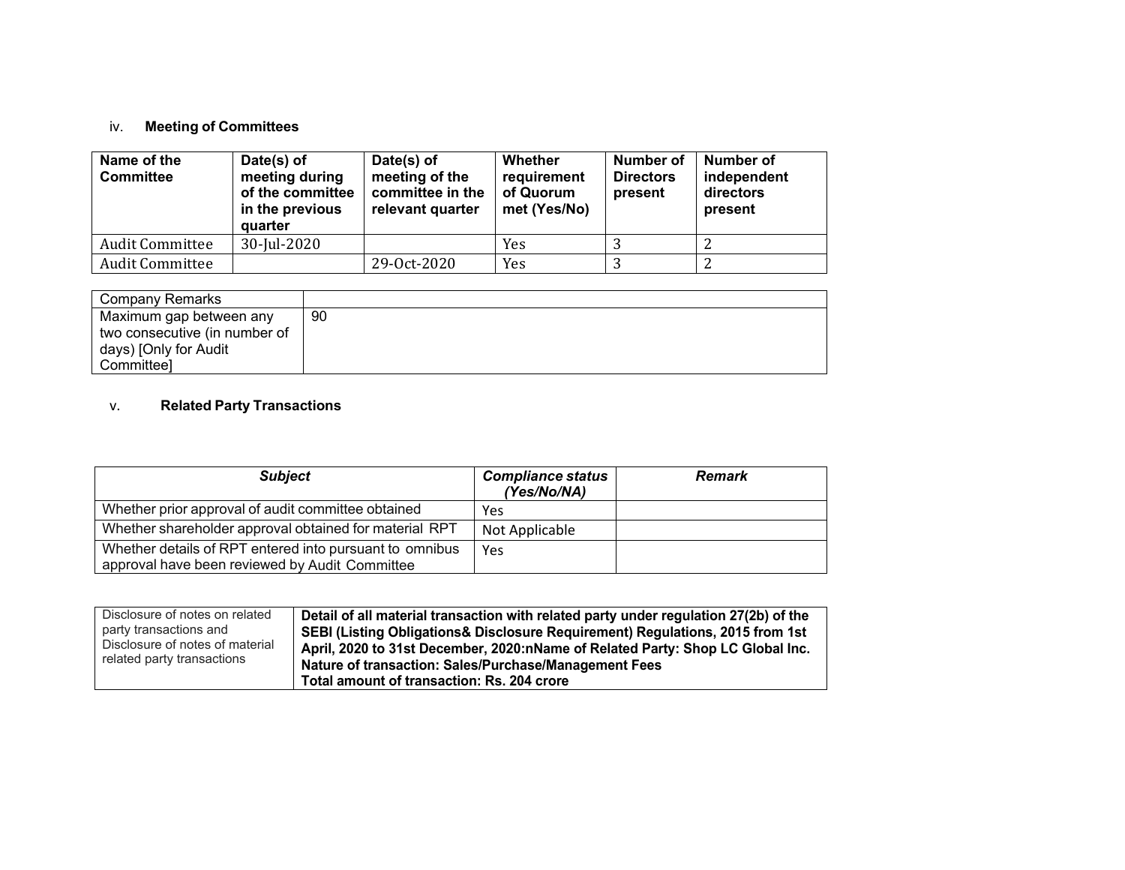## iv. **Meeting of Committees**

| Name of the<br><b>Committee</b> | Date(s) of<br>meeting during<br>of the committee<br>in the previous<br>quarter | Date(s) of<br>meeting of the<br>committee in the<br>relevant quarter | Whether<br>requirement<br>of Quorum<br>met (Yes/No) | Number of<br><b>Directors</b><br>present | Number of<br>independent<br>directors<br>present |
|---------------------------------|--------------------------------------------------------------------------------|----------------------------------------------------------------------|-----------------------------------------------------|------------------------------------------|--------------------------------------------------|
| <b>Audit Committee</b>          | 30-Jul-2020                                                                    |                                                                      | Yes                                                 |                                          | ▵                                                |
| <b>Audit Committee</b>          |                                                                                | 29-0ct-2020                                                          | Yes                                                 |                                          | ∠                                                |

| <b>Company Remarks</b>        |    |
|-------------------------------|----|
| Maximum gap between any       | 90 |
| two consecutive (in number of |    |
| days) [Only for Audit         |    |
| Committeel                    |    |

#### v.**Related Party Transactions**

| <b>Subject</b>                                                                                            | <b>Compliance status</b><br>(Yes/No/NA) | <b>Remark</b> |
|-----------------------------------------------------------------------------------------------------------|-----------------------------------------|---------------|
| Whether prior approval of audit committee obtained                                                        | Yes                                     |               |
| Whether shareholder approval obtained for material RPT                                                    | Not Applicable                          |               |
| Whether details of RPT entered into pursuant to omnibus<br>approval have been reviewed by Audit Committee | Yes                                     |               |

| Disclosure of notes on related  | Detail of all material transaction with related party under regulation 27(2b) of the |
|---------------------------------|--------------------------------------------------------------------------------------|
| party transactions and          | SEBI (Listing Obligations& Disclosure Requirement) Regulations, 2015 from 1st        |
| Disclosure of notes of material | April, 2020 to 31st December, 2020:nName of Related Party: Shop LC Global Inc.       |
| related party transactions      | Nature of transaction: Sales/Purchase/Management Fees                                |
|                                 | Total amount of transaction: Rs. 204 crore                                           |